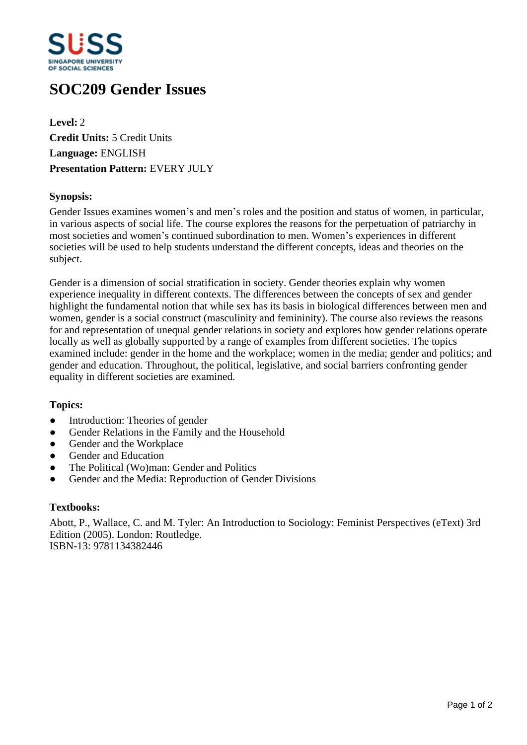

# **SOC209 Gender Issues**

**Level:** 2 **Credit Units:** 5 Credit Units **Language:** ENGLISH **Presentation Pattern:** EVERY JULY

## **Synopsis:**

Gender Issues examines women's and men's roles and the position and status of women, in particular, in various aspects of social life. The course explores the reasons for the perpetuation of patriarchy in most societies and women's continued subordination to men. Women's experiences in different societies will be used to help students understand the different concepts, ideas and theories on the subject.

Gender is a dimension of social stratification in society. Gender theories explain why women experience inequality in different contexts. The differences between the concepts of sex and gender highlight the fundamental notion that while sex has its basis in biological differences between men and women, gender is a social construct (masculinity and femininity). The course also reviews the reasons for and representation of unequal gender relations in society and explores how gender relations operate locally as well as globally supported by a range of examples from different societies. The topics examined include: gender in the home and the workplace; women in the media; gender and politics; and gender and education. Throughout, the political, legislative, and social barriers confronting gender equality in different societies are examined.

#### **Topics:**

- Introduction: Theories of gender
- Gender Relations in the Family and the Household
- Gender and the Workplace
- Gender and Education
- ƔThe Political (Wo)man: Gender and Politics
- Gender and the Media: Reproduction of Gender Divisions

#### **Textbooks:**

Abott, P., Wallace, C. and M. Tyler: An Introduction to Sociology: Feminist Perspectives (eText) 3rd Edition (2005). London: Routledge. ISBN-13: 9781134382446